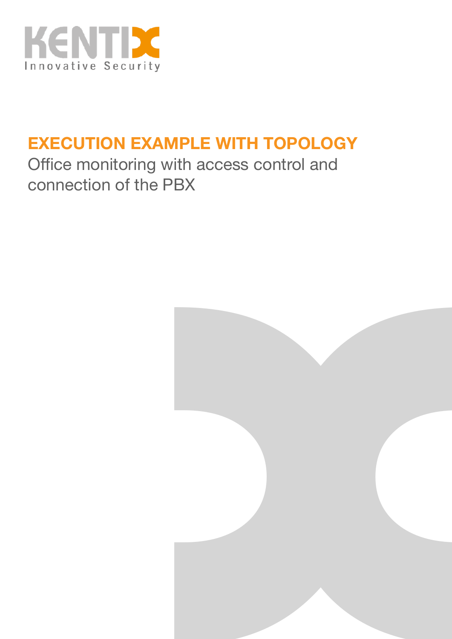

# **EXECUTION EXAMPLE WITH TOPOLOGY**

Office monitoring with access control and connection of the PBX

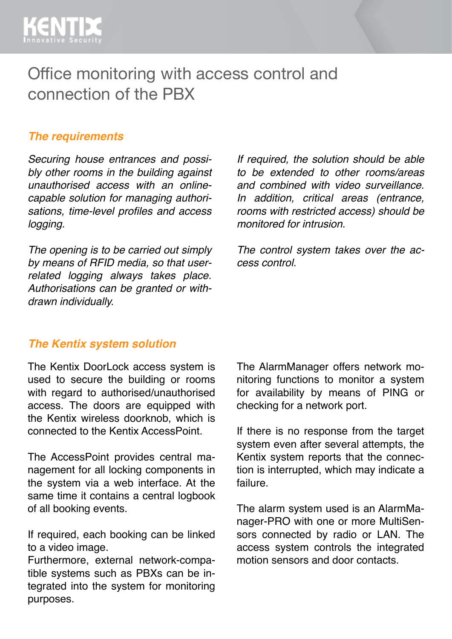## Office monitoring with access control and connection of the PBX

#### *The requirements*

*Securing house entrances and possibly other rooms in the building against unauthorised access with an onlinecapable solution for managing authorisations, time-level profiles and access logging.*

*The opening is to be carried out simply by means of RFID media, so that userrelated logging always takes place. Authorisations can be granted or withdrawn individually.* 

*If required, the solution should be able to be extended to other rooms/areas and combined with video surveillance. In addition, critical areas (entrance, rooms with restricted access) should be monitored for intrusion.* 

*The control system takes over the access control.*

### *The Kentix system solution*

The Kentix DoorLock access system is used to secure the building or rooms with regard to authorised/unauthorised access. The doors are equipped with the Kentix wireless doorknob, which is connected to the Kentix AccessPoint.

The AccessPoint provides central management for all locking components in the system via a web interface. At the same time it contains a central logbook of all booking events.

If required, each booking can be linked to a video image.

Furthermore, external network-compatible systems such as PBXs can be integrated into the system for monitoring purposes.

The AlarmManager offers network monitoring functions to monitor a system for availability by means of PING or checking for a network port.

If there is no response from the target system even after several attempts, the Kentix system reports that the connection is interrupted, which may indicate a failure.

The alarm system used is an AlarmManager-PRO with one or more MultiSensors connected by radio or LAN. The access system controls the integrated motion sensors and door contacts.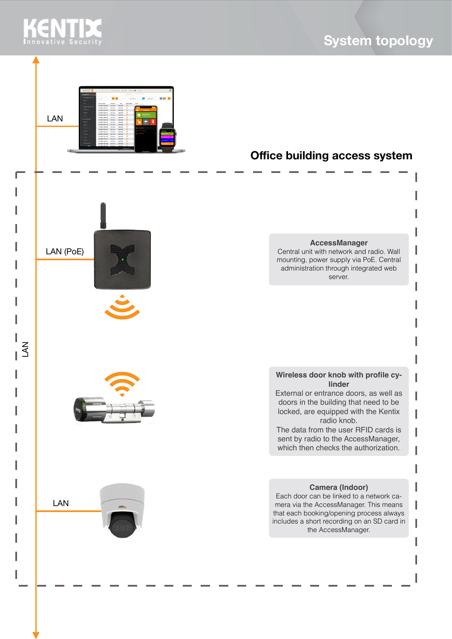